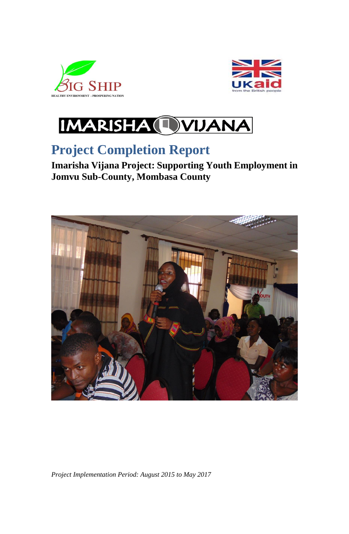





# **Project Completion Report**

**Imarisha Vijana Project: Supporting Youth Employment in Jomvu Sub-County, Mombasa County**



*Project Implementation Period: August 2015 to May 2017*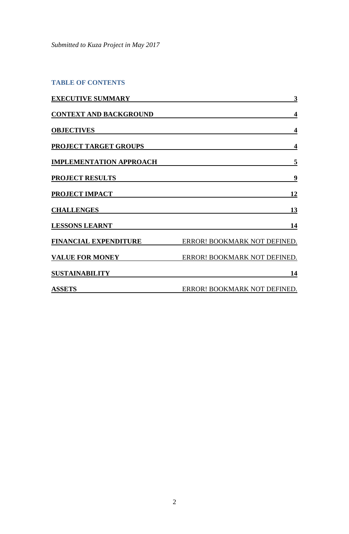*Submitted to Kuza Project in May 2017*

# **TABLE OF CONTENTS**

| <b>EXECUTIVE SUMMARY</b>       | 3                            |
|--------------------------------|------------------------------|
| <b>CONTEXT AND BACKGROUND</b>  | $\overline{\mathbf{4}}$      |
| <b>OBJECTIVES</b>              | $\overline{\mathbf{4}}$      |
| PROJECT TARGET GROUPS          | $\overline{\mathbf{4}}$      |
| <b>IMPLEMENTATION APPROACH</b> | 5                            |
| <b>PROJECT RESULTS</b>         | 9                            |
| <b>PROJECT IMPACT</b>          | <u>12</u>                    |
| <b>CHALLENGES</b>              | 13                           |
| <b>LESSONS LEARNT</b>          | 14                           |
| <u>FINANCIAL EXPENDITURE</u>   | ERROR! BOOKMARK NOT DEFINED. |
| <b>VALUE FOR MONEY</b>         | ERROR! BOOKMARK NOT DEFINED. |
| <b>SUSTAINABILITY</b>          | 14                           |
| <b>ASSETS</b>                  | ERROR! BOOKMARK NOT DEFINED. |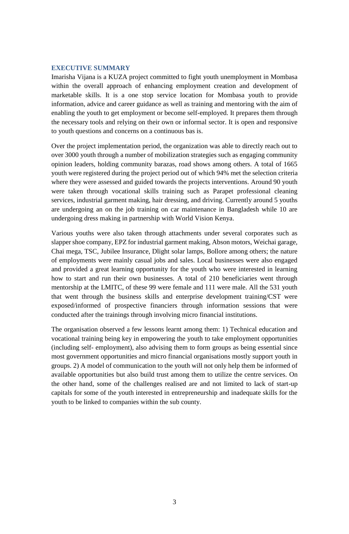#### <span id="page-2-0"></span>**EXECUTIVE SUMMARY**

Imarisha Vijana is a KUZA project committed to fight youth unemployment in Mombasa within the overall approach of enhancing employment creation and development of marketable skills. It is a one stop service location for Mombasa youth to provide information, advice and career guidance as well as training and mentoring with the aim of enabling the youth to get employment or become self-employed. It prepares them through the necessary tools and relying on their own or informal sector. It is open and responsive to youth questions and concerns on a continuous bas is.

Over the project implementation period, the organization was able to directly reach out to over 3000 youth through a number of mobilization strategies such as engaging community opinion leaders, holding community barazas, road shows among others. A total of 1665 youth were registered during the project period out of which 94% met the selection criteria where they were assessed and guided towards the projects interventions. Around 90 youth were taken through vocational skills training such as Parapet professional cleaning services, industrial garment making, hair dressing, and driving. Currently around 5 youths are undergoing an on the job training on car maintenance in Bangladesh while 10 are undergoing dress making in partnership with World Vision Kenya.

Various youths were also taken through attachments under several corporates such as slapper shoe company, EPZ for industrial garment making, Abson motors, Weichai garage, Chai mega, TSC, Jubilee Insurance, Dlight solar lamps, Bollore among others; the nature of employments were mainly casual jobs and sales. Local businesses were also engaged and provided a great learning opportunity for the youth who were interested in learning how to start and run their own businesses. A total of 210 beneficiaries went through mentorship at the LMITC, of these 99 were female and 111 were male. All the 531 youth that went through the business skills and enterprise development training/CST were exposed/informed of prospective financiers through information sessions that were conducted after the trainings through involving micro financial institutions.

The organisation observed a few lessons learnt among them: 1) Technical education and vocational training being key in empowering the youth to take employment opportunities (including self- employment), also advising them to form groups as being essential since most government opportunities and micro financial organisations mostly support youth in groups. 2) A model of communication to the youth will not only help them be informed of available opportunities but also build trust among them to utilize the centre services. On the other hand, some of the challenges realised are and not limited to lack of start-up capitals for some of the youth interested in entrepreneurship and inadequate skills for the youth to be linked to companies within the sub county.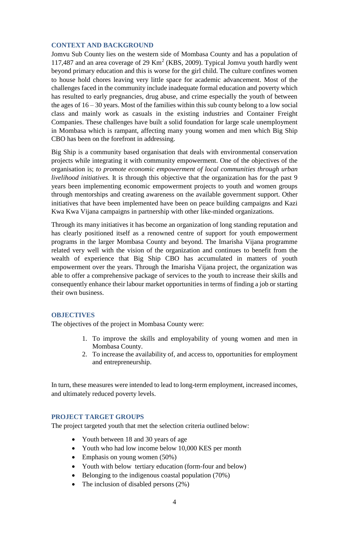#### <span id="page-3-0"></span>**CONTEXT AND BACKGROUND**

Jomvu Sub County lies on the western side of Mombasa County and has a population of 117,487 and an area coverage of 29 Km<sup>2</sup> (KBS, 2009). Typical Jomvu youth hardly went beyond primary education and this is worse for the girl child. The culture confines women to house hold chores leaving very little space for academic advancement. Most of the challenges faced in the community include inadequate formal education and poverty which has resulted to early pregnancies, drug abuse, and crime especially the youth of between the ages of  $16 - 30$  years. Most of the families within this sub county belong to a low social class and mainly work as casuals in the existing industries and Container Freight Companies. These challenges have built a solid foundation for large scale unemployment in Mombasa which is rampant, affecting many young women and men which Big Ship CBO has been on the forefront in addressing.

Big Ship is a community based organisation that deals with environmental conservation projects while integrating it with community empowerment. One of the objectives of the organisation is; *to promote economic empowerment of local communities through urban livelihood initiatives.* It is through this objective that the organization has for the past 9 years been implementing economic empowerment projects to youth and women groups through mentorships and creating awareness on the available government support. Other initiatives that have been implemented have been on peace building campaigns and Kazi Kwa Kwa Vijana campaigns in partnership with other like-minded organizations*.* 

Through its many initiatives it has become an organization of long standing reputation and has clearly positioned itself as a renowned centre of support for youth empowerment programs in the larger Mombasa County and beyond. The Imarisha Vijana programme related very well with the vision of the organization and continues to benefit from the wealth of experience that Big Ship CBO has accumulated in matters of youth empowerment over the years. Through the Imarisha Vijana project, the organization was able to offer a comprehensive package of services to the youth to increase their skills and consequently enhance their labour market opportunities in terms of finding a job or starting their own business.

#### <span id="page-3-1"></span>**OBJECTIVES**

The objectives of the project in Mombasa County were:

- 1. To improve the skills and employability of young women and men in Mombasa County.
- 2. To increase the availability of, and access to, opportunities for employment and entrepreneurship.

In turn, these measures were intended to lead to long-term employment, increased incomes, and ultimately reduced poverty levels.

#### <span id="page-3-2"></span>**PROJECT TARGET GROUPS**

The project targeted youth that met the selection criteria outlined below:

- Youth between 18 and 30 years of age
- Youth who had low income below 10,000 KES per month
- Emphasis on young women (50%)
- Youth with below tertiary education (form-four and below)
- Belonging to the indigenous coastal population (70%)
- The inclusion of disabled persons (2%)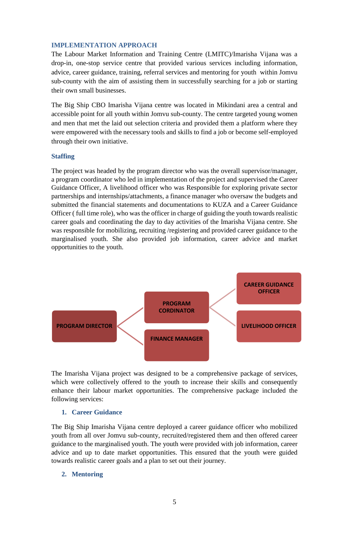#### <span id="page-4-0"></span>**IMPLEMENTATION APPROACH**

The Labour Market Information and Training Centre (LMITC)/Imarisha Vijana was a drop-in, one-stop service centre that provided various services including information, advice, career guidance, training, referral services and mentoring for youth within Jomvu sub-county with the aim of assisting them in successfully searching for a job or starting their own small businesses.

The Big Ship CBO Imarisha Vijana centre was located in Mikindani area a central and accessible point for all youth within Jomvu sub-county. The centre targeted young women and men that met the laid out selection criteria and provided them a platform where they were empowered with the necessary tools and skills to find a job or become self-employed through their own initiative.

#### **Staffing**

The project was headed by the program director who was the overall supervisor/manager, a program coordinator who led in implementation of the project and supervised the Career Guidance Officer, A livelihood officer who was Responsible for exploring private sector partnerships and internships/attachments, a finance manager who oversaw the budgets and submitted the financial statements and documentations to KUZA and a Career Guidance Officer ( full time role), who was the officer in charge of guiding the youth towards realistic career goals and coordinating the day to day activities of the Imarisha Vijana centre. She was responsible for mobilizing, recruiting /registering and provided career guidance to the marginalised youth. She also provided job information, career advice and market opportunities to the youth.



The Imarisha Vijana project was designed to be a comprehensive package of services, which were collectively offered to the youth to increase their skills and consequently enhance their labour market opportunities. The comprehensive package included the following services:

#### **1. Career Guidance**

The Big Ship Imarisha Vijana centre deployed a career guidance officer who mobilized youth from all over Jomvu sub-county, recruited/registered them and then offered career guidance to the marginalised youth. The youth were provided with job information, career advice and up to date market opportunities. This ensured that the youth were guided towards realistic career goals and a plan to set out their journey.

## **2. Mentoring**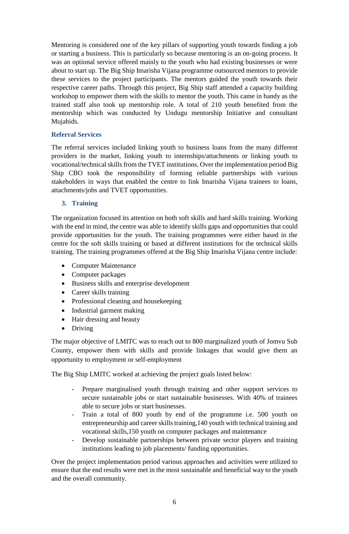Mentoring is considered one of the key pillars of supporting youth towards finding a job or starting a business. This is particularly so because mentoring is an on-going process. It was an optional service offered mainly to the youth who had existing businesses or were about to start up. The Big Ship Imarisha Vijana programme outsourced mentors to provide these services to the project participants. The mentors guided the youth towards their respective career paths. Through this project, Big Ship staff attended a capacity building workshop to empower them with the skills to mentor the youth. This came in handy as the trained staff also took up mentorship role. A total of 210 youth benefited from the mentorship which was conducted by Undugu mentorship Initiative and consultant Mujahids.

## **Referral Services**

The referral services included linking youth to business loans from the many different providers in the market, linking youth to internships/attachments or linking youth to vocational/technical skills from the TVET institutions. Over the implementation period Big Ship CBO took the responsibility of forming reliable partnerships with various stakeholders in ways that enabled the centre to link Imarisha Vijana trainees to loans, attachments/jobs and TVET opportunities.

## **3. Training**

The organization focused its attention on both soft skills and hard skills training. Working with the end in mind, the centre was able to identify skills gaps and opportunities that could provide opportunities for the youth. The training programmes were either based in the centre for the soft skills training or based at different institutions for the technical skills training. The training programmes offered at the Big Ship Imarisha Vijana centre include:

- Computer Maintenance
- Computer packages
- Business skills and enterprise development
- Career skills training
- Professional cleaning and housekeeping
- Industrial garment making
- Hair dressing and beauty
- Driving

The major objective of LMITC was to reach out to 800 marginalized youth of Jomvu Sub County, empower them with skills and provide linkages that would give them an opportunity to employment or self-employment

The Big Ship LMITC worked at achieving the project goals listed below:

- Prepare marginalised youth through training and other support services to secure sustainable jobs or start sustainable businesses. With 40% of trainees able to secure jobs or start businesses.
- Train a total of 800 youth by end of the programme i.e. 500 youth on entrepreneurship and career skills training,140 youth with technical training and vocational skills,150 youth on computer packages and maintenance
- Develop sustainable partnerships between private sector players and training institutions leading to job placements/ funding opportunities.

Over the project implementation period various approaches and activities were utilized to ensure that the end results were met in the most sustainable and beneficial way to the youth and the overall community.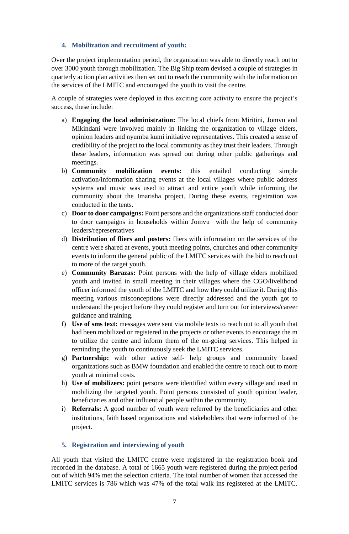## **4. Mobilization and recruitment of youth:**

Over the project implementation period, the organization was able to directly reach out to over 3000 youth through mobilization. The Big Ship team devised a couple of strategies in quarterly action plan activities then set out to reach the community with the information on the services of the LMITC and encouraged the youth to visit the centre.

A couple of strategies were deployed in this exciting core activity to ensure the project's success, these include:

- a) **Engaging the local administration:** The local chiefs from Miritini, Jomvu and Mikindani were involved mainly in linking the organization to village elders, opinion leaders and nyumba kumi initiative representatives. This created a sense of credibility of the project to the local community as they trust their leaders. Through these leaders, information was spread out during other public gatherings and meetings.
- b) **Community mobilization events:** this entailed conducting simple activation/information sharing events at the local villages where public address systems and music was used to attract and entice youth while informing the community about the Imarisha project. During these events, registration was conducted in the tents.
- c) **Door to door campaigns:** Point persons and the organizations staff conducted door to door campaigns in households within Jomvu with the help of community leaders/representatives
- d) **Distribution of fliers and posters:** fliers with information on the services of the centre were shared at events, youth meeting points, churches and other community events to inform the general public of the LMITC services with the bid to reach out to more of the target youth.
- e) **Community Barazas:** Point persons with the help of village elders mobilized youth and invited in small meeting in their villages where the CGO/livelihood officer informed the youth of the LMITC and how they could utilize it. During this meeting various misconceptions were directly addressed and the youth got to understand the project before they could register and turn out for interviews/career guidance and training.
- f) **Use of sms text:** messages were sent via mobile texts to reach out to all youth that had been mobilized or registered in the projects or other events to encourage the m to utilize the centre and inform them of the on-going services. This helped in reminding the youth to continuously seek the LMITC services.
- g) **Partnership:** with other active self- help groups and community based organizations such as BMW foundation and enabled the centre to reach out to more youth at minimal costs.
- h) **Use of mobilizers:** point persons were identified within every village and used in mobilizing the targeted youth. Point persons consisted of youth opinion leader, beneficiaries and other influential people within the community.
- i) **Referrals:** A good number of youth were referred by the beneficiaries and other institutions, faith based organizations and stakeholders that were informed of the project.

# **5. Registration and interviewing of youth**

All youth that visited the LMITC centre were registered in the registration book and recorded in the database. A total of 1665 youth were registered during the project period out of which 94% met the selection criteria. The total number of women that accessed the LMITC services is 786 which was 47% of the total walk ins registered at the LMITC.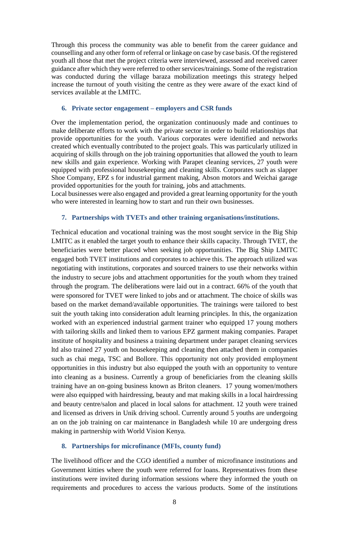Through this process the community was able to benefit from the career guidance and counselling and any other form of referral or linkage on case by case basis. Of the registered youth all those that met the project criteria were interviewed, assessed and received career guidance after which they were referred to other services/trainings. Some of the registration was conducted during the village baraza mobilization meetings this strategy helped increase the turnout of youth visiting the centre as they were aware of the exact kind of services available at the LMITC.

#### **6. Private sector engagement – employers and CSR funds**

Over the implementation period, the organization continuously made and continues to make deliberate efforts to work with the private sector in order to build relationships that provide opportunities for the youth. Various corporates were identified and networks created which eventually contributed to the project goals. This was particularly utilized in acquiring of skills through on the job training opportunities that allowed the youth to learn new skills and gain experience. Working with Parapet cleaning services, 27 youth were equipped with professional housekeeping and cleaning skills. Corporates such as slapper Shoe Company, EPZ s for industrial garment making, Abson motors and Weichai garage provided opportunities for the youth for training, jobs and attachments.

Local businesses were also engaged and provided a great learning opportunity for the youth who were interested in learning how to start and run their own businesses.

#### **7. Partnerships with TVETs and other training organisations/institutions.**

Technical education and vocational training was the most sought service in the Big Ship LMITC as it enabled the target youth to enhance their skills capacity. Through TVET, the beneficiaries were better placed when seeking job opportunities. The Big Ship LMITC engaged both TVET institutions and corporates to achieve this. The approach utilized was negotiating with institutions, corporates and sourced trainers to use their networks within the industry to secure jobs and attachment opportunities for the youth whom they trained through the program. The deliberations were laid out in a contract. 66% of the youth that were sponsored for TVET were linked to jobs and or attachment. The choice of skills was based on the market demand/available opportunities. The trainings were tailored to best suit the youth taking into consideration adult learning principles. In this, the organization worked with an experienced industrial garment trainer who equipped 17 young mothers with tailoring skills and linked them to various EPZ garment making companies. Parapet institute of hospitality and business a training department under parapet cleaning services ltd also trained 27 youth on housekeeping and cleaning then attached them in companies such as chai mega, TSC and Bollore. This opportunity not only provided employment opportunities in this industry but also equipped the youth with an opportunity to venture into cleaning as a business. Currently a group of beneficiaries from the cleaning skills training have an on-going business known as Briton cleaners. 17 young women/mothers were also equipped with hairdressing, beauty and mat making skills in a local hairdressing and beauty centre/salon and placed in local salons for attachment. 12 youth were trained and licensed as drivers in Unik driving school. Currently around 5 youths are undergoing an on the job training on car maintenance in Bangladesh while 10 are undergoing dress making in partnership with World Vision Kenya.

#### **8. Partnerships for microfinance (MFIs, county fund)**

The livelihood officer and the CGO identified a number of microfinance institutions and Government kitties where the youth were referred for loans. Representatives from these institutions were invited during information sessions where they informed the youth on requirements and procedures to access the various products. Some of the institutions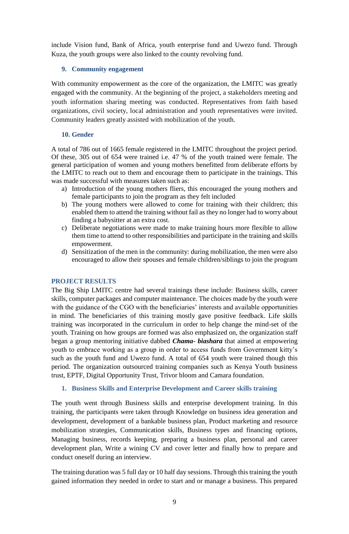include Vision fund, Bank of Africa, youth enterprise fund and Uwezo fund. Through Kuza, the youth groups were also linked to the county revolving fund.

## **9. Community engagement**

With community empowerment as the core of the organization, the LMITC was greatly engaged with the community. At the beginning of the project, a stakeholders meeting and youth information sharing meeting was conducted. Representatives from faith based organizations, civil society, local administration and youth representatives were invited. Community leaders greatly assisted with mobilization of the youth.

## **10. Gender**

A total of 786 out of 1665 female registered in the LMITC throughout the project period. Of these, 305 out of 654 were trained i.e. 47 % of the youth trained were female. The general participation of women and young mothers benefitted from deliberate efforts by the LMITC to reach out to them and encourage them to participate in the trainings. This was made successful with measures taken such as:

- a) Introduction of the young mothers fliers, this encouraged the young mothers and female participants to join the program as they felt included
- b) The young mothers were allowed to come for training with their children; this enabled them to attend the training without fail as they no longer had to worry about finding a babysitter at an extra cost.
- c) Deliberate negotiations were made to make training hours more flexible to allow them time to attend to other responsibilities and participate in the training and skills empowerment.
- d) Sensitization of the men in the community: during mobilization, the men were also encouraged to allow their spouses and female children/siblings to join the program

## <span id="page-8-0"></span>**PROJECT RESULTS**

The Big Ship LMITC centre had several trainings these include: Business skills, career skills, computer packages and computer maintenance. The choices made by the youth were with the guidance of the CGO with the beneficiaries' interests and available opportunities in mind. The beneficiaries of this training mostly gave positive feedback. Life skills training was incorporated in the curriculum in order to help change the mind-set of the youth. Training on how groups are formed was also emphasized on, the organization staff began a group mentoring initiative dabbed *Chama- biashara* that aimed at empowering youth to embrace working as a group in order to access funds from Government kitty's such as the youth fund and Uwezo fund. A total of 654 youth were trained though this period. The organization outsourced training companies such as Kenya Youth business trust, EPTF, Digital Opportunity Trust, Trivor bloom and Camara foundation.

## **1. Business Skills and Enterprise Development and Career skills training**

The youth went through Business skills and enterprise development training. In this training, the participants were taken through Knowledge on business idea generation and development, development of a bankable business plan, Product marketing and resource mobilization strategies, Communication skills, Business types and financing options, Managing business, records keeping, preparing a business plan, personal and career development plan, Write a wining CV and cover letter and finally how to prepare and conduct oneself during an interview.

The training duration was 5 full day or 10 half day sessions. Through this training the youth gained information they needed in order to start and or manage a business. This prepared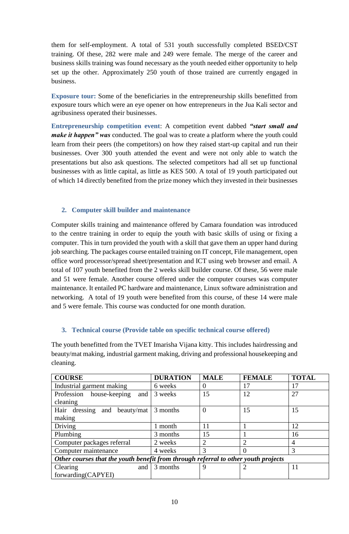them for self-employment. A total of 531 youth successfully completed BSED/CST training. Of these, 282 were male and 249 were female. The merge of the career and business skills training was found necessary as the youth needed either opportunity to help set up the other. Approximately 250 youth of those trained are currently engaged in business.

**Exposure tour:** Some of the beneficiaries in the entrepreneurship skills benefitted from exposure tours which were an eye opener on how entrepreneurs in the Jua Kali sector and agribusiness operated their businesses.

**Entrepreneurship competition event**: A competition event dabbed *"start small and make it happen" was* conducted. The goal was to create a platform where the youth could learn from their peers (the competitors) on how they raised start-up capital and run their businesses. Over 300 youth attended the event and were not only able to watch the presentations but also ask questions. The selected competitors had all set up functional businesses with as little capital, as little as KES 500. A total of 19 youth participated out of which 14 directly benefited from the prize money which they invested in their businesses

## **2. Computer skill builder and maintenance**

Computer skills training and maintenance offered by Camara foundation was introduced to the centre training in order to equip the youth with basic skills of using or fixing a computer. This in turn provided the youth with a skill that gave them an upper hand during job searching. The packages course entailed training on IT concept, File management, open office word processor/spread sheet/presentation and ICT using web browser and email. A total of 107 youth benefited from the 2 weeks skill builder course. Of these, 56 were male and 51 were female. Another course offered under the computer courses was computer maintenance. It entailed PC hardware and maintenance, Linux software administration and networking. A total of 19 youth were benefited from this course, of these 14 were male and 5 were female. This course was conducted for one month duration.

# **3. Technical course (Provide table on specific technical course offered)**

The youth benefitted from the TVET Imarisha Vijana kitty. This includes hairdressing and beauty/mat making, industrial garment making, driving and professional housekeeping and cleaning.

| <b>COURSE</b>                                                                      | <b>DURATION</b> | <b>MALE</b> | <b>FEMALE</b>  | <b>TOTAL</b>   |
|------------------------------------------------------------------------------------|-----------------|-------------|----------------|----------------|
| Industrial garment making                                                          | 6 weeks         |             | 17             | 17             |
| Profession<br>house-keeping<br>and                                                 | 3 weeks         | 15          | 12             | 27             |
| cleaning                                                                           |                 |             |                |                |
| Hair dressing and beauty/mat                                                       | 3 months        | 0           | 15             | 15             |
| making                                                                             |                 |             |                |                |
| Driving                                                                            | 1 month         | 11          |                | 12             |
| Plumbing                                                                           | 3 months        | 15          |                | 16             |
| Computer packages referral                                                         | 2 weeks         | 2           | $\overline{2}$ | $\overline{4}$ |
| Computer maintenance                                                               | 4 weeks         | 3           | $\theta$       | 3              |
| Other courses that the youth benefit from through referral to other youth projects |                 |             |                |                |
| Clearing<br>and                                                                    | 3 months        |             |                | 11             |
| forwarding(CAPYEI)                                                                 |                 |             |                |                |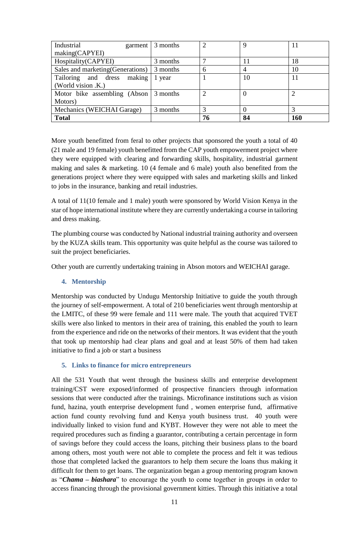| Industrial                                 | garment $\vert$ 3 months | 2             | Q  |     |
|--------------------------------------------|--------------------------|---------------|----|-----|
| making(CAPYEI)                             |                          |               |    |     |
| Hospitality(CAPYEI)                        | 3 months                 |               | 11 | 18  |
| Sales and marketing (Generations)          | 3 months                 | 6             |    | 10  |
| Tailoring and dress<br>making              | 1 year                   |               | 10 |     |
| (World vision .K.)                         |                          |               |    |     |
| Motor bike assembling $(Abson   3 months)$ |                          | $\mathcal{D}$ |    |     |
| Motors)                                    |                          |               |    |     |
| Mechanics (WEICHAI Garage)                 | 3 months                 |               |    |     |
| <b>Total</b>                               |                          | 76            | 84 | 160 |

More youth benefitted from feral to other projects that sponsored the youth a total of 40 (21 male and 19 female) youth benefitted from the CAP youth empowerment project where they were equipped with clearing and forwarding skills, hospitality, industrial garment making and sales & marketing. 10 (4 female and 6 male) youth also benefited from the generations project where they were equipped with sales and marketing skills and linked to jobs in the insurance, banking and retail industries.

A total of 11(10 female and 1 male) youth were sponsored by World Vision Kenya in the star of hope international institute where they are currently undertaking a course in tailoring and dress making.

The plumbing course was conducted by National industrial training authority and overseen by the KUZA skills team. This opportunity was quite helpful as the course was tailored to suit the project beneficiaries.

Other youth are currently undertaking training in Abson motors and WEICHAI garage.

# **4. Mentorship**

Mentorship was conducted by Undugu Mentorship Initiative to guide the youth through the journey of self-empowerment. A total of 210 beneficiaries went through mentorship at the LMITC, of these 99 were female and 111 were male. The youth that acquired TVET skills were also linked to mentors in their area of training, this enabled the youth to learn from the experience and ride on the networks of their mentors. It was evident that the youth that took up mentorship had clear plans and goal and at least 50% of them had taken initiative to find a job or start a business

# **5. Links to finance for micro entrepreneurs**

All the 531 Youth that went through the business skills and enterprise development training/CST were exposed/informed of prospective financiers through information sessions that were conducted after the trainings. Microfinance institutions such as vision fund, hazina, youth enterprise development fund , women enterprise fund, affirmative action fund county revolving fund and Kenya youth business trust. 40 youth were individually linked to vision fund and KYBT. However they were not able to meet the required procedures such as finding a guarantor, contributing a certain percentage in form of savings before they could access the loans, pitching their business plans to the board among others, most youth were not able to complete the process and felt it was tedious those that completed lacked the guarantors to help them secure the loans thus making it difficult for them to get loans. The organization began a group mentoring program known as "*Chama – biashara*" to encourage the youth to come together in groups in order to access financing through the provisional government kitties. Through this initiative a total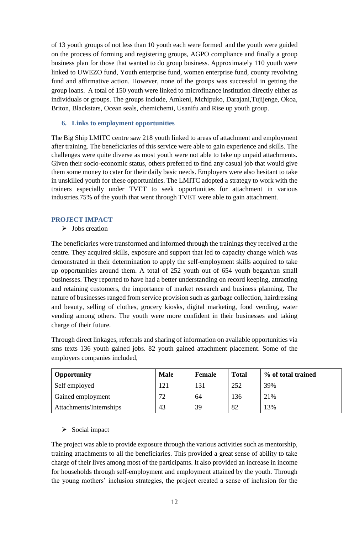of 13 youth groups of not less than 10 youth each were formed and the youth were guided on the process of forming and registering groups, AGPO compliance and finally a group business plan for those that wanted to do group business. Approximately 110 youth were linked to UWEZO fund, Youth enterprise fund, women enterprise fund, county revolving fund and affirmative action. However, none of the groups was successful in getting the group loans. A total of 150 youth were linked to microfinance institution directly either as individuals or groups. The groups include, Amkeni, Mchipuko, Darajani,Tujijenge, Okoa, Briton, Blackstars, Ocean seals, chemichemi, Usanifu and Rise up youth group.

## **6. Links to employment opportunities**

The Big Ship LMITC centre saw 218 youth linked to areas of attachment and employment after training. The beneficiaries of this service were able to gain experience and skills. The challenges were quite diverse as most youth were not able to take up unpaid attachments. Given their socio-economic status, others preferred to find any casual job that would give them some money to cater for their daily basic needs. Employers were also hesitant to take in unskilled youth for these opportunities. The LMITC adopted a strategy to work with the trainers especially under TVET to seek opportunities for attachment in various industries.75% of the youth that went through TVET were able to gain attachment.

# <span id="page-11-0"></span>**PROJECT IMPACT**

 $\triangleright$  Jobs creation

The beneficiaries were transformed and informed through the trainings they received at the centre. They acquired skills, exposure and support that led to capacity change which was demonstrated in their determination to apply the self-employment skills acquired to take up opportunities around them. A total of 252 youth out of 654 youth began/ran small businesses. They reported to have had a better understanding on record keeping, attracting and retaining customers, the importance of market research and business planning. The nature of businesses ranged from service provision such as garbage collection, hairdressing and beauty, selling of clothes, grocery kiosks, digital marketing, food vending, water vending among others. The youth were more confident in their businesses and taking charge of their future.

Through direct linkages, referrals and sharing of information on available opportunities via sms texts 136 youth gained jobs. 82 youth gained attachment placement. Some of the employers companies included,

| <b>Opportunity</b>      | <b>Male</b> | <b>Female</b> | <b>Total</b> | % of total trained |
|-------------------------|-------------|---------------|--------------|--------------------|
| Self employed           | 121         | 131           | 252          | 39%                |
| Gained employment       | 72          | 64            | 136          | 21%                |
| Attachments/Internships | 43          | 39            | 82           | 13%                |

# $\triangleright$  Social impact

The project was able to provide exposure through the various activities such as mentorship, training attachments to all the beneficiaries. This provided a great sense of ability to take charge of their lives among most of the participants. It also provided an increase in income for households through self-employment and employment attained by the youth. Through the young mothers' inclusion strategies, the project created a sense of inclusion for the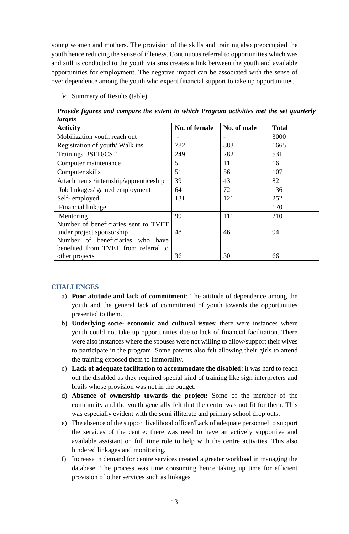young women and mothers. The provision of the skills and training also preoccupied the youth hence reducing the sense of idleness. Continuous referral to opportunities which was and still is conducted to the youth via sms creates a link between the youth and available opportunities for employment. The negative impact can be associated with the sense of over dependence among the youth who expect financial support to take up opportunities.

 $\triangleright$  Summary of Results (table)

*Provide figures and compare the extent to which Program activities met the set quarterly targets*

| $\mu$ $\mu$ $\mu$                      |               |             |              |
|----------------------------------------|---------------|-------------|--------------|
| <b>Activity</b>                        | No. of female | No. of male | <b>Total</b> |
| Mobilization youth reach out           |               |             | 3000         |
| Registration of youth/Walk ins         | 782           | 883         | 1665         |
| Trainings BSED/CST                     | 249           | 282         | 531          |
| Computer maintenance                   | 5             | 11          | 16           |
| Computer skills                        | 51            | 56          | 107          |
| Attachments /internship/apprenticeship | 39            | 43          | 82           |
| Job linkages/ gained employment        | 64            | 72          | 136          |
| Self-employed                          | 131           | 121         | 252          |
| Financial linkage                      |               |             | 170          |
| Mentoring                              | 99            | 111         | 210          |
| Number of beneficiaries sent to TVET   |               |             |              |
| under project sponsorship              | 48            | 46          | 94           |
| Number of beneficiaries who have       |               |             |              |
| benefited from TVET from referral to   |               |             |              |
| other projects                         | 36            | 30          | 66           |

# <span id="page-12-0"></span>**CHALLENGES**

- a) **Poor attitude and lack of commitment**: The attitude of dependence among the youth and the general lack of commitment of youth towards the opportunities presented to them.
- b) **Underlying socie- economic and cultural issues**: there were instances where youth could not take up opportunities due to lack of financial facilitation. There were also instances where the spouses were not willing to allow/support their wives to participate in the program. Some parents also felt allowing their girls to attend the training exposed them to immorality.
- c) **Lack of adequate facilitation to accommodate the disabled**: it was hard to reach out the disabled as they required special kind of training like sign interpreters and brails whose provision was not in the budget.
- d) **Absence of ownership towards the project:** Some of the member of the community and the youth generally felt that the centre was not fit for them. This was especially evident with the semi illiterate and primary school drop outs.
- e) The absence of the support livelihood officer/Lack of adequate personnel to support the services of the centre: there was need to have an actively supportive and available assistant on full time role to help with the centre activities. This also hindered linkages and monitoring.
- f) Increase in demand for centre services created a greater workload in managing the database. The process was time consuming hence taking up time for efficient provision of other services such as linkages